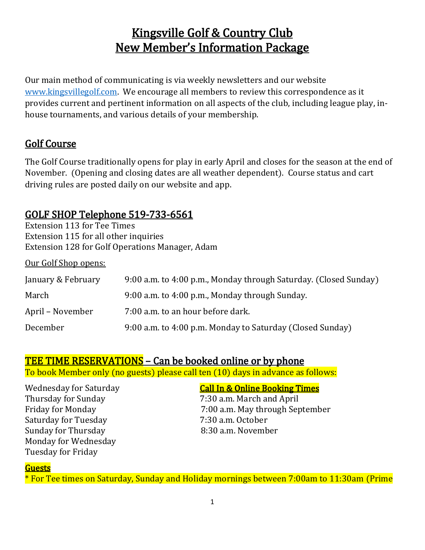# Kingsville Golf & Country Club New Member's Information Package

Our main method of communicating is via weekly newsletters and our website [www.kingsvillegolf.com.](http://www.kingsvillegolf.com/) We encourage all members to review this correspondence as it provides current and pertinent information on all aspects of the club, including league play, inhouse tournaments, and various details of your membership.

## Golf Course

The Golf Course traditionally opens for play in early April and closes for the season at the end of November. (Opening and closing dates are all weather dependent). Course status and cart driving rules are posted daily on our website and app.

## GOLF SHOP Telephone 519-733-6561

Extension 113 for Tee Times Extension 115 for all other inquiries Extension 128 for Golf Operations Manager, Adam

Our Golf Shop opens:

| January & February | 9:00 a.m. to 4:00 p.m., Monday through Saturday. (Closed Sunday) |
|--------------------|------------------------------------------------------------------|
| March              | 9:00 a.m. to 4:00 p.m., Monday through Sunday.                   |
| April – November   | 7:00 a.m. to an hour before dark.                                |
| December           | 9:00 a.m. to 4:00 p.m. Monday to Saturday (Closed Sunday)        |

#### TEE TIME RESERVATIONS - Can be booked online or by phone

To book Member only (no guests) please call ten (10) days in advance as follows:

Wednesday for Saturday Call In & Online Booking Times Thursday for Sunday 7:30 a.m. March and April Saturday for Tuesday 7:30 a.m. October Sunday for Thursday Monday for Wednesday Tuesday for Friday

7:00 a.m. May through September<br>7:30 a.m. October

#### Guests

\* For Tee times on Saturday, Sunday and Holiday mornings between 7:00am to 11:30am (Prime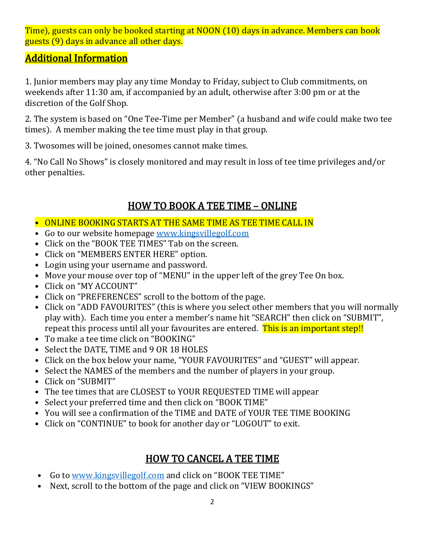Time), guests can only be booked starting at NOON (10) days in advance. Members can book guests (9) days in advance all other days.

## Additional Information

1. Junior members may play any time Monday to Friday, subject to Club commitments, on weekends after 11:30 am, if accompanied by an adult, otherwise after 3:00 pm or at the discretion of the Golf Shop.

2. The system is based on "One Tee-Time per Member" (a husband and wife could make two tee times). A member making the tee time must play in that group.

3. Twosomes will be joined, onesomes cannot make times.

4. "No Call No Shows" is closely monitored and may result in loss of tee time privileges and/or other penalties.

## HOW TO BOOK A TEE TIME – ONLINE

- ONLINE BOOKING STARTS AT THE SAME TIME AS TEE TIME CALL IN
- Go to our website homepage [www.kingsvillegolf.com](http://www.kingsvillegolf.com/)
- Click on the "BOOK TEE TIMES" Tab on the screen.
- Click on "MEMBERS ENTER HERE" option.
- Login using your username and password.
- Move your mouse over top of "MENU" in the upper left of the grey Tee On box.
- Click on "MY ACCOUNT"
- Click on "PREFERENCES" scroll to the bottom of the page.
- Click on "ADD FAVOURITES" (this is where you select other members that you will normally play with). Each time you enter a member's name hit "SEARCH" then click on "SUBMIT", repeat this process until all your favourites are entered. This is an important step!!
- To make a tee time click on "BOOKING"
- Select the DATE, TIME and 9 OR 18 HOLES
- Click on the box below your name, "YOUR FAVOURITES" and "GUEST" will appear.
- Select the NAMES of the members and the number of players in your group.
- Click on "SUBMIT"
- The tee times that are CLOSEST to YOUR REQUESTED TIME will appear
- Select your preferred time and then click on "BOOK TIME"
- You will see a confirmation of the TIME and DATE of YOUR TEE TIME BOOKING
- Click on "CONTINUE" to book for another day or "LOGOUT" to exit.

## HOW TO CANCEL A TEE TIME

- Go to [www.kingsvillegolf.com](http://www.kingsvillegolf.com/) and click on "BOOK TEE TIME"
- Next, scroll to the bottom of the page and click on "VIEW BOOKINGS"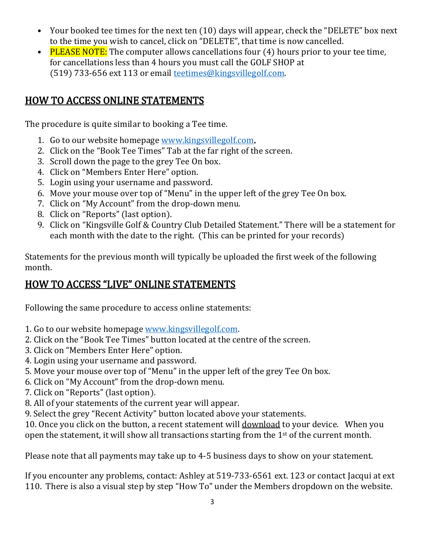- Your booked tee times for the next ten (10) days will appear, check the "DELETE" box next to the time you wish to cancel, click on "DELETE", that time is now cancelled.
- PLEASE NOTE: The computer allows cancellations four  $(4)$  hours prior to your tee time, for cancellations less than 4 hours you must call the GOLF SHOP at (519) 733-656 ext 113 or email [teetimes@kingsvillegolf.com.](mailto:teetimes@kingsvillegolf.com)

## HOW TO ACCESS ONLINE STATEMENTS

The procedure is quite similar to booking a Tee time.

- 1. Go to our website homepage [www.kingsvillegolf.com.](http://www.kingsvillegolf.com/)
- 2. Click on the "Book Tee Times" Tab at the far right of the screen.
- 3. Scroll down the page to the grey Tee On box.
- 4. Click on "Members Enter Here" option.
- 5. Login using your username and password.
- 6. Move your mouse over top of "Menu" in the upper left of the grey Tee On box.
- 7. Click on "My Account" from the drop-down menu.
- 8. Click on "Reports" (last option).
- 9. Click on "Kingsville Golf & Country Club Detailed Statement." There will be a statement for each month with the date to the right. (This can be printed for your records)

Statements for the previous month will typically be uploaded the first week of the following month.

## HOW TO ACCESS "LIVE" ONLINE STATEMENTS

Following the same procedure to access online statements:

- 1. Go to our website homepage [www.kingsvillegolf.com.](https://can01.safelinks.protection.outlook.com/?url=http%3A%2F%2Fwww.kingsvillegolf.com%2F&data=04%7C01%7Cadmin%40kingsvillegolf.com%7C22f2184cf3584f0affa808d9275b7008%7C8d29ce7755504ad1b7f9616fe9928861%7C0%7C0%7C637584095944238373%7CUnknown%7CTWFpbGZsb3d8eyJWIjoiMC4wLjAwMDAiLCJQIjoiV2luMzIiLCJBTiI6Ik1haWwiLCJXVCI6Mn0%3D%7C1000&sdata=D1jzTV3Kxye3SUEuN06KmIKiGiMxNjX7nfeM2PR5gXU%3D&reserved=0)
- 2. Click on the "Book Tee Times" button located at the centre of the screen.
- 3. Click on "Members Enter Here" option.
- 4. Login using your username and password.
- 5. Move your mouse over top of "Menu" in the upper left of the grey Tee On box.
- 6. Click on "My Account" from the drop-down menu.
- 7. Click on "Reports" (last option).
- 8. All of your statements of the current year will appear.
- 9. Select the grey "Recent Activity" button located above your statements.

10. Once you click on the button, a recent statement will download to your device. When you open the statement, it will show all transactions starting from the 1<sup>st</sup> of the current month.

Please note that all payments may take up to 4-5 business days to show on your statement.

If you encounter any problems, contact: Ashley at 519-733-6561 ext. 123 or contact Jacqui at ext 110. There is also a visual step by step "How To" under the Members dropdown on the website.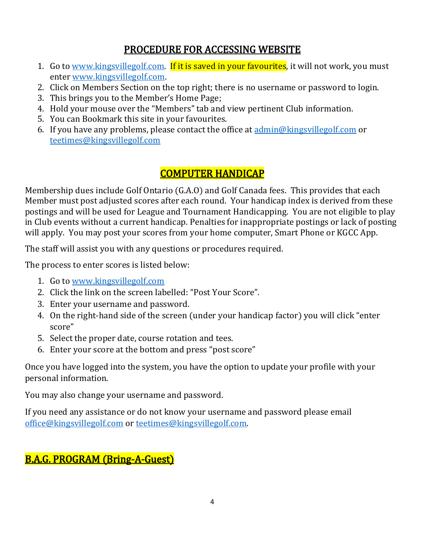## PROCEDURE FOR ACCESSING WEBSITE

- 1. Go to [www.kingsvillegolf.com.](http://www.kingsvillegolf.com/) If it is saved in your favourites, it will not work, you must enter [www.kingsvillegolf.com.](http://www.kingsvillegolf.com/)
- 2. Click on Members Section on the top right; there is no username or password to login.
- 3. This brings you to the Member's Home Page;
- 4. Hold your mouse over the "Members" tab and view pertinent Club information.
- 5. You can Bookmark this site in your favourites.
- 6. If you have any problems, please contact the office at  $\frac{\text{admin@kingsvillegolf.com}}{\text{admin@kingsvillegolf.com}}$  or [teetimes@kingsvillegolf.com](mailto:teetimes@kingsvillegolf.com)

## COMPUTER HANDICAP

Membership dues include Golf Ontario (G.A.O) and Golf Canada fees. This provides that each Member must post adjusted scores after each round. Your handicap index is derived from these postings and will be used for League and Tournament Handicapping. You are not eligible to play in Club events without a current handicap. Penalties for inappropriate postings or lack of posting will apply. You may post your scores from your home computer, Smart Phone or KGCC App.

The staff will assist you with any questions or procedures required.

The process to enter scores is listed below:

- 1. Go to [www.kingsvillegolf.com](http://www.kingsvillegolf.com/)
- 2. Click the link on the screen labelled: "Post Your Score".
- 3. Enter your username and password.
- 4. On the right-hand side of the screen (under your handicap factor) you will click "enter score"
- 5. Select the proper date, course rotation and tees.
- 6. Enter your score at the bottom and press "post score"

Once you have logged into the system, you have the option to update your profile with your personal information.

You may also change your username and password.

If you need any assistance or do not know your username and password please email [office@kingsvillegolf.com](mailto:office@kingsvillegolf.com) or [teetimes@kingsvillegolf.com.](mailto:teetimes@kingsvillegolf.com)

## B.A.G. PROGRAM (Bring-A-Guest)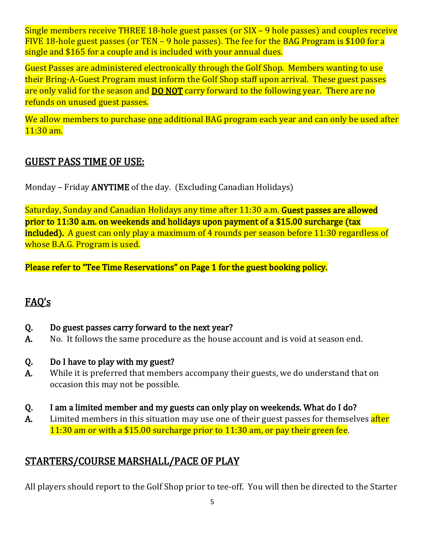Single members receive THREE 18-hole guest passes (or SIX – 9 hole passes) and couples receive FIVE 18-hole guest passes (or TEN – 9 hole passes). The fee for the BAG Program is \$100 for a single and \$165 for a couple and is included with your annual dues.

Guest Passes are administered electronically through the Golf Shop. Members wanting to use their Bring-A-Guest Program must inform the Golf Shop staff upon arrival. These guest passes are only valid for the season and **DO NOT** carry forward to the following year. There are no refunds on unused guest passes.

We allow members to purchase one additional BAG program each year and can only be used after 11:30 am.

#### GUEST PASS TIME OF USE:

Monday – Friday ANYTIME of the day. (Excluding Canadian Holidays)

Saturday, Sunday and Canadian Holidays any time after 11:30 a.m. Guest passes are allowed prior to 11:30 a.m. on weekends and holidays upon payment of a \$15.00 surcharge (tax included). A guest can only play a maximum of 4 rounds per season before 11:30 regardless of whose B.A.G. Program is used.

Please refer to "Tee Time Reservations" on Page 1 for the guest booking policy.

## FAQ's

- Q. Do guest passes carry forward to the next year?
- A. No. It follows the same procedure as the house account and is void at season end.
- Q. Do I have to play with my guest?
- A. While it is preferred that members accompany their guests, we do understand that on occasion this may not be possible.
- Q. I am a limited member and my guests can only play on weekends. What do I do?
- A. Limited members in this situation may use one of their guest passes for themselves after 11:30 am or with a \$15.00 surcharge prior to 11:30 am, or pay their green fee.

## STARTERS/COURSE MARSHALL/PACE OF PLAY

All players should report to the Golf Shop prior to tee-off. You will then be directed to the Starter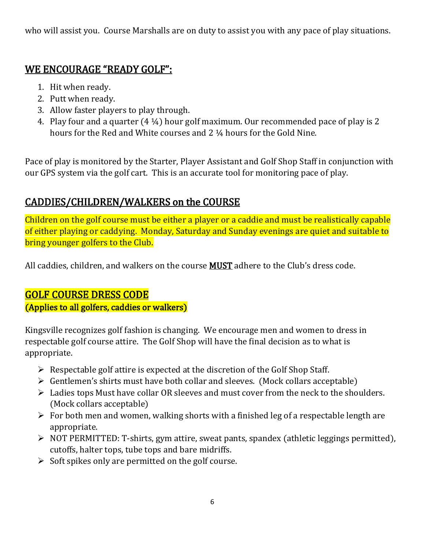who will assist you. Course Marshalls are on duty to assist you with any pace of play situations.

## WE ENCOURAGE "READY GOLF":

- 1. Hit when ready.
- 2. Putt when ready.
- 3. Allow faster players to play through.
- 4. Play four and a quarter (4 ¼) hour golf maximum. Our recommended pace of play is 2 hours for the Red and White courses and 2 ¼ hours for the Gold Nine.

Pace of play is monitored by the Starter, Player Assistant and Golf Shop Staff in conjunction with our GPS system via the golf cart. This is an accurate tool for monitoring pace of play.

## CADDIES/CHILDREN/WALKERS on the COURSE

Children on the golf course must be either a player or a caddie and must be realistically capable of either playing or caddying. Monday, Saturday and Sunday evenings are quiet and suitable to bring younger golfers to the Club.

All caddies, children, and walkers on the course **MUST** adhere to the Club's dress code.

## GOLF COURSE DRESS CODE

(Applies to all golfers, caddies or walkers)

Kingsville recognizes golf fashion is changing. We encourage men and women to dress in respectable golf course attire. The Golf Shop will have the final decision as to what is appropriate.

- $\triangleright$  Respectable golf attire is expected at the discretion of the Golf Shop Staff.
- $\triangleright$  Gentlemen's shirts must have both collar and sleeves. (Mock collars acceptable)
- $\triangleright$  Ladies tops Must have collar OR sleeves and must cover from the neck to the shoulders. (Mock collars acceptable)
- $\triangleright$  For both men and women, walking shorts with a finished leg of a respectable length are appropriate.
- NOT PERMITTED: T-shirts, gym attire, sweat pants, spandex (athletic leggings permitted), cutoffs, halter tops, tube tops and bare midriffs.
- $\triangleright$  Soft spikes only are permitted on the golf course.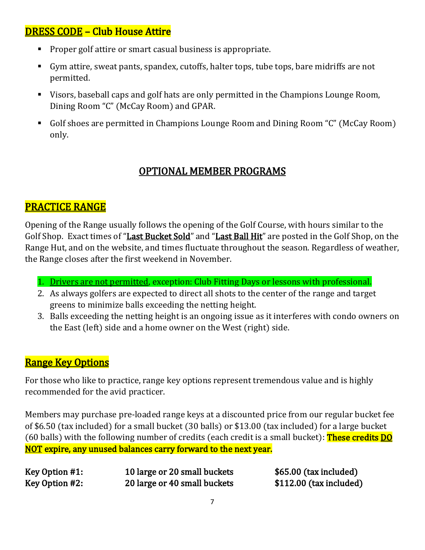## DRESS CODE – Club House Attire

- **Proper golf attire or smart casual business is appropriate.**
- Gym attire, sweat pants, spandex, cutoffs, halter tops, tube tops, bare midriffs are not permitted.
- Visors, baseball caps and golf hats are only permitted in the Champions Lounge Room, Dining Room "C" (McCay Room) and GPAR.
- Golf shoes are permitted in Champions Lounge Room and Dining Room "C" (McCay Room) only.

## OPTIONAL MEMBER PROGRAMS

#### PRACTICE RANGE

Opening of the Range usually follows the opening of the Golf Course, with hours similar to the Golf Shop. Exact times of "Last Bucket Sold" and "Last Ball Hit" are posted in the Golf Shop, on the Range Hut, and on the website, and times fluctuate throughout the season. Regardless of weather, the Range closes after the first weekend in November.

- 1. Drivers are not permitted, exception: Club Fitting Days or lessons with professional.
- 2. As always golfers are expected to direct all shots to the center of the range and target greens to minimize balls exceeding the netting height.
- 3. Balls exceeding the netting height is an ongoing issue as it interferes with condo owners on the East (left) side and a home owner on the West (right) side.

#### **Range Key Options**

For those who like to practice, range key options represent tremendous value and is highly recommended for the avid practicer.

Members may purchase pre-loaded range keys at a discounted price from our regular bucket fee of \$6.50 (tax included) for a small bucket (30 balls) or \$13.00 (tax included) for a large bucket (60 balls) with the following number of credits (each credit is a small bucket): **These credits DO** NOT expire, any unused balances carry forward to the next year.

| Key Option #1: | 10 large or 20 small buckets |
|----------------|------------------------------|
| Key Option #2: | 20 large or 40 small buckets |

 $$65.00$  (tax included)  $$112.00$  (tax included)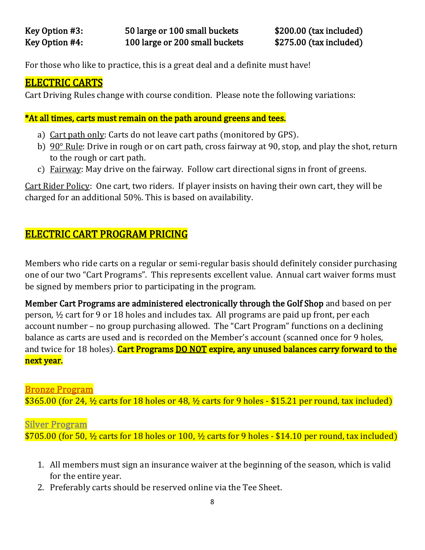For those who like to practice, this is a great deal and a definite must have!

### ELECTRIC CARTS

Cart Driving Rules change with course condition. Please note the following variations:

#### \*At all times, carts must remain on the path around greens and tees.

- a) Cart path only: Carts do not leave cart paths (monitored by GPS).
- b) 90° Rule: Drive in rough or on cart path, cross fairway at 90, stop, and play the shot, return to the rough or cart path.
- c) Fairway: May drive on the fairway. Follow cart directional signs in front of greens.

Cart Rider Policy: One cart, two riders. If player insists on having their own cart, they will be charged for an additional 50%. This is based on availability.

## ELECTRIC CART PROGRAM PRICING

Members who ride carts on a regular or semi-regular basis should definitely consider purchasing one of our two "Cart Programs". This represents excellent value. Annual cart waiver forms must be signed by members prior to participating in the program.

Member Cart Programs are administered electronically through the Golf Shop and based on per person, ½ cart for 9 or 18 holes and includes tax. All programs are paid up front, per each account number – no group purchasing allowed. The "Cart Program" functions on a declining balance as carts are used and is recorded on the Member's account (scanned once for 9 holes, and twice for 18 holes). Cart Programs DO NOT expire, any unused balances carry forward to the next year.

#### Bronze Program

\$365.00 (for 24,  $\frac{1}{2}$  carts for 18 holes or 48,  $\frac{1}{2}$  carts for 9 holes - \$15.21 per round, tax included)

#### Silver Program

 $$705.00$  (for 50,  $\frac{1}{2}$  carts for 18 holes or 100,  $\frac{1}{2}$  carts for 9 holes - \$14.10 per round, tax included)

- 1. All members must sign an insurance waiver at the beginning of the season, which is valid for the entire year.
- 2. Preferably carts should be reserved online via the Tee Sheet.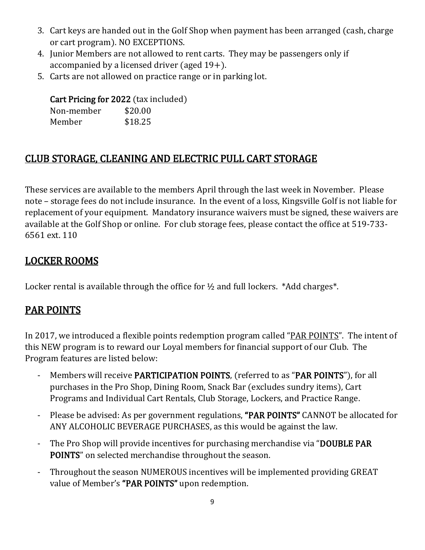- 3. Cart keys are handed out in the Golf Shop when payment has been arranged (cash, charge or cart program). NO EXCEPTIONS.
- 4. Junior Members are not allowed to rent carts. They may be passengers only if accompanied by a licensed driver (aged 19+).
- 5. Carts are not allowed on practice range or in parking lot.

#### Cart Pricing for 2022 (tax included)

| Non-member | \$20.00 |
|------------|---------|
| Member     | \$18.25 |

## CLUB STORAGE, CLEANING AND ELECTRIC PULL CART STORAGE

These services are available to the members April through the last week in November. Please note – storage fees do not include insurance. In the event of a loss, Kingsville Golf is not liable for replacement of your equipment. Mandatory insurance waivers must be signed, these waivers are available at the Golf Shop or online. For club storage fees, please contact the office at 519-733- 6561 ext. 110

## LOCKER ROOMS

Locker rental is available through the office for  $\frac{1}{2}$  and full lockers. \*Add charges\*.

## PAR POINTS

In 2017, we introduced a flexible points redemption program called "PAR POINTS". The intent of this NEW program is to reward our Loyal members for financial support of our Club. The Program features are listed below:

- Members will receive PARTICIPATION POINTS, (referred to as "PAR POINTS"), for all purchases in the Pro Shop, Dining Room, Snack Bar (excludes sundry items), Cart Programs and Individual Cart Rentals, Club Storage, Lockers, and Practice Range.
- Please be advised: As per government regulations, "PAR POINTS" CANNOT be allocated for ANY ALCOHOLIC BEVERAGE PURCHASES, as this would be against the law.
- The Pro Shop will provide incentives for purchasing merchandise via "DOUBLE PAR POINTS" on selected merchandise throughout the season.
- Throughout the season NUMEROUS incentives will be implemented providing GREAT value of Member's "PAR POINTS" upon redemption.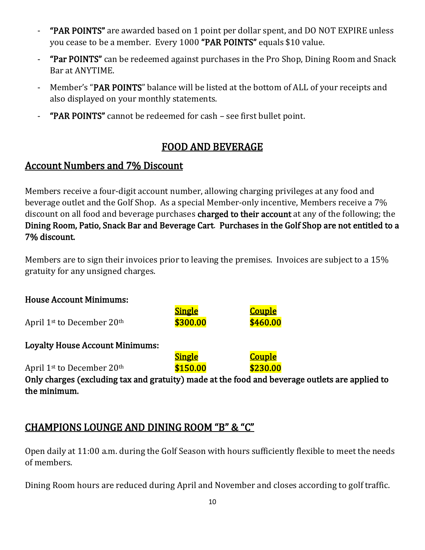- "PAR POINTS" are awarded based on 1 point per dollar spent, and DO NOT EXPIRE unless you cease to be a member. Every 1000 "PAR POINTS" equals \$10 value.
- "Par POINTS" can be redeemed against purchases in the Pro Shop, Dining Room and Snack Bar at ANYTIME.
- Member's "PAR POINTS" balance will be listed at the bottom of ALL of your receipts and also displayed on your monthly statements.
- "PAR POINTS" cannot be redeemed for cash see first bullet point.

## FOOD AND BEVERAGE

#### Account Numbers and 7% Discount

Members receive a four-digit account number, allowing charging privileges at any food and beverage outlet and the Golf Shop. As a special Member-only incentive, Members receive a 7% discount on all food and beverage purchases charged to their account at any of the following; the Dining Room, Patio, Snack Bar and Beverage Cart. Purchases in the Golf Shop are not entitled to a 7% discount.

Members are to sign their invoices prior to leaving the premises. Invoices are subject to a 15% gratuity for any unsigned charges.

| <b>House Account Minimums:</b>                                                                 |                           |                           |  |  |  |  |
|------------------------------------------------------------------------------------------------|---------------------------|---------------------------|--|--|--|--|
| April 1 <sup>st</sup> to December 20 <sup>th</sup>                                             | <b>Single</b><br>\$300.00 | <b>Couple</b><br>\$460.00 |  |  |  |  |
| <b>Loyalty House Account Minimums:</b>                                                         |                           |                           |  |  |  |  |
|                                                                                                | <u>Single</u>             | <b>Couple</b>             |  |  |  |  |
| April 1 <sup>st</sup> to December 20 <sup>th</sup>                                             | \$150.00                  | \$230.00                  |  |  |  |  |
| Only charges (excluding tax and gratuity) made at the food and beverage outlets are applied to |                           |                           |  |  |  |  |
| the minimum.                                                                                   |                           |                           |  |  |  |  |

## CHAMPIONS LOUNGE AND DINING ROOM "B" & "C"

Open daily at 11:00 a.m. during the Golf Season with hours sufficiently flexible to meet the needs of members.

Dining Room hours are reduced during April and November and closes according to golf traffic.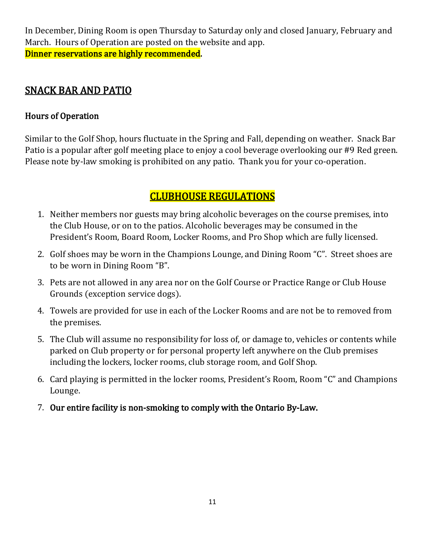In December, Dining Room is open Thursday to Saturday only and closed January, February and March. Hours of Operation are posted on the website and app. Dinner reservations are highly recommended.

#### SNACK BAR AND PATIO

## Hours of Operation

Similar to the Golf Shop, hours fluctuate in the Spring and Fall, depending on weather. Snack Bar Patio is a popular after golf meeting place to enjoy a cool beverage overlooking our #9 Red green. Please note by-law smoking is prohibited on any patio. Thank you for your co-operation.

## CLUBHOUSE REGULATIONS

- 1. Neither members nor guests may bring alcoholic beverages on the course premises, into the Club House, or on to the patios. Alcoholic beverages may be consumed in the President's Room, Board Room, Locker Rooms, and Pro Shop which are fully licensed.
- 2. Golf shoes may be worn in the Champions Lounge, and Dining Room "C". Street shoes are to be worn in Dining Room "B".
- 3. Pets are not allowed in any area nor on the Golf Course or Practice Range or Club House Grounds (exception service dogs).
- 4. Towels are provided for use in each of the Locker Rooms and are not be to removed from the premises.
- 5. The Club will assume no responsibility for loss of, or damage to, vehicles or contents while parked on Club property or for personal property left anywhere on the Club premises including the lockers, locker rooms, club storage room, and Golf Shop.
- 6. Card playing is permitted in the locker rooms, President's Room, Room "C" and Champions Lounge.
- 7. Our entire facility is non-smoking to comply with the Ontario By-Law.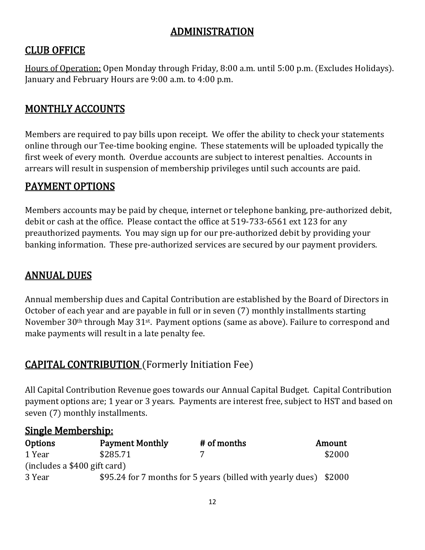## ADMINISTRATION

## CLUB OFFICE

Hours of Operation: Open Monday through Friday, 8:00 a.m. until 5:00 p.m. (Excludes Holidays). January and February Hours are 9:00 a.m. to 4:00 p.m.

## MONTHLY ACCOUNTS

Members are required to pay bills upon receipt. We offer the ability to check your statements online through our Tee-time booking engine. These statements will be uploaded typically the first week of every month. Overdue accounts are subject to interest penalties. Accounts in arrears will result in suspension of membership privileges until such accounts are paid.

#### PAYMENT OPTIONS

Members accounts may be paid by cheque, internet or telephone banking, pre-authorized debit, debit or cash at the office. Please contact the office at 519-733-6561 ext 123 for any preauthorized payments. You may sign up for our pre-authorized debit by providing your banking information. These pre-authorized services are secured by our payment providers.

#### ANNUAL DUES

Annual membership dues and Capital Contribution are established by the Board of Directors in October of each year and are payable in full or in seven (7) monthly installments starting November 30<sup>th</sup> through May 31<sup>st</sup>. Payment options (same as above). Failure to correspond and make payments will result in a late penalty fee.

## CAPITAL CONTRIBUTION (Formerly Initiation Fee)

All Capital Contribution Revenue goes towards our Annual Capital Budget. Capital Contribution payment options are; 1 year or 3 years. Payments are interest free, subject to HST and based on seven (7) monthly installments.

#### Single Membership:

| <b>Options</b>               | <b>Payment Monthly</b> | # of months                                                       | Amount |
|------------------------------|------------------------|-------------------------------------------------------------------|--------|
| 1 Year                       | \$285.71               |                                                                   | \$2000 |
| (includes a \$400 gift card) |                        |                                                                   |        |
| 3 Year                       |                        | \$95.24 for 7 months for 5 years (billed with yearly dues) \$2000 |        |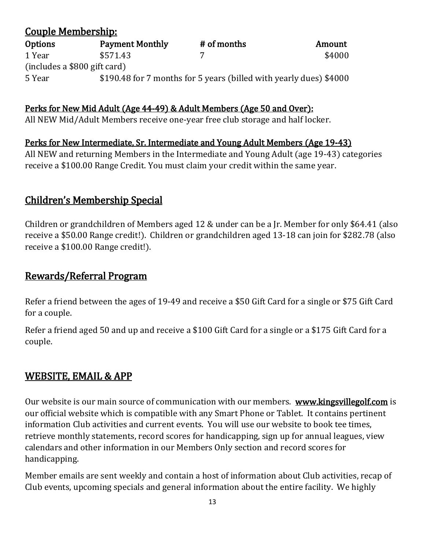#### Couple Membership:<br>Options Payn Options Payment Monthly # of months Amount  $1 \text{ Year}$   $$571.43$   $7$   $$4000$ (includes a \$800 gift card) 5 Year \$190.48 for 7 months for 5 years (billed with yearly dues) \$4000

#### Perks for New Mid Adult (Age 44-49) & Adult Members (Age 50 and Over):

All NEW Mid/Adult Members receive one-year free club storage and half locker.

#### Perks for New Intermediate, Sr. Intermediate and Young Adult Members (Age 19-43)

All NEW and returning Members in the Intermediate and Young Adult (age 19-43) categories receive a \$100.00 Range Credit. You must claim your credit within the same year.

#### Children's Membership Special

Children or grandchildren of Members aged 12 & under can be a Jr. Member for only \$64.41 (also receive a \$50.00 Range credit!). Children or grandchildren aged 13-18 can join for \$282.78 (also receive a \$100.00 Range credit!).

#### Rewards/Referral Program

Refer a friend between the ages of 19-49 and receive a \$50 Gift Card for a single or \$75 Gift Card for a couple.

Refer a friend aged 50 and up and receive a \$100 Gift Card for a single or a \$175 Gift Card for a couple.

#### WEBSITE, EMAIL & APP

Our website is our main source of communication with our members. [www.kingsvillegolf.com](http://www.kingsvillegolf.com/) is our official website which is compatible with any Smart Phone or Tablet. It contains pertinent information Club activities and current events. You will use our website to book tee times, retrieve monthly statements, record scores for handicapping, sign up for annual leagues, view calendars and other information in our Members Only section and record scores for handicapping.

Member emails are sent weekly and contain a host of information about Club activities, recap of Club events, upcoming specials and general information about the entire facility. We highly